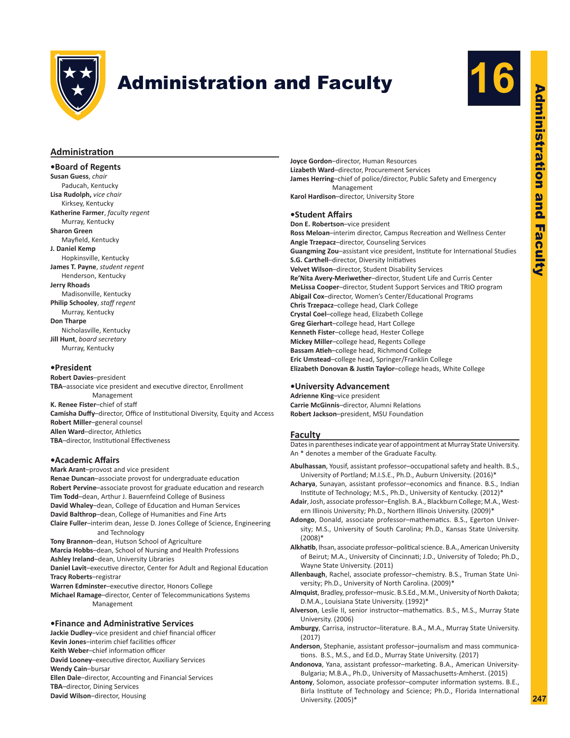

# **Administration and Faculty**



# Administration and Faculty Administration **and Faculty**

# **Administration**

**•Board of Regents Susan Guess**, *chair* Paducah, Kentucky **Lisa Rudolph,** *vice chair* Kirksey, Kentucky **Katherine Farmer**, *faculty regent* Murray, Kentucky **Sharon Green** Mayfield, Kentucky **J. Daniel Kemp** Hopkinsville, Kentucky **James T. Payne**, *student regent* Henderson, Kentucky **Jerry Rhoads** Madisonville, Kentucky **Philip Schooley**, *staff regent* Murray, Kentucky **Don Tharpe** Nicholasville, Kentucky **Jill Hunt**, *board secretary* Murray, Kentucky

#### **•President**

**Robert Davies**–president **TBA**–associate vice president and executive director, Enrollment Management **K. Renee Fister**–chief of staff **Camisha Duffy**–director, Office of Institutional Diversity, Equity and Access **Robert Miller**–general counsel **Allen Ward**–director, Athletics **TBA**–director, Institutional Effectiveness

#### **•Academic Affairs**

**Mark Arant**–provost and vice president **Renae Duncan**–associate provost for undergraduate education **Robert Pervine**–associate provost for graduate education and research **Tim Todd**–dean, Arthur J. Bauernfeind College of Business **David Whaley**–dean, College of Education and Human Services **David Balthrop**–dean, College of Humanities and Fine Arts **Claire Fuller**–interim dean, Jesse D. Jones College of Science, Engineering and Technology **Tony Brannon**–dean, Hutson School of Agriculture **Marcia Hobbs**–dean, School of Nursing and Health Professions **Ashley Ireland**–dean, University Libraries **Daniel Lavit**–executive director, Center for Adult and Regional Education **Tracy Roberts**–registrar **Warren Edminster**–executive director, Honors College **Michael Ramage**–director, Center of Telecommunications Systems Management

#### **•Finance and Administrative Services**

**Jackie Dudley**–vice president and chief financial officer **Kevin Jones**–interim chief facilities officer **Keith Weber**–chief information officer **David Looney**–executive director, Auxiliary Services **Wendy Cain**–bursar **Ellen Dale**–director, Accounting and Financial Services **TBA**–director, Dining Services **David Wilson**–director, Housing

**Joyce Gordon**–director, Human Resources **Lizabeth Ward**–director, Procurement Services **James Herring**–chief of police/director, Public Safety and Emergency Management **Karol Hardison**–director, University Store

#### **•Student Affairs**

**Don E. Robertson**–vice president **Ross Meloan**–interim director, Campus Recreation and Wellness Center **Angie Trzepacz**–director, Counseling Services **Guangming Zou**–assistant vice president, Institute for International Studies **S.G. Carthell**–director, Diversity Initiatives **Velvet Wilson**–director, Student Disability Services **Re'Nita Avery-Meriwether**–director, Student Life and Curris Center **MeLissa Cooper**–director, Student Support Services and TRIO program **Abigail Cox**–director, Women's Center/Educational Programs **Chris Trzepacz**–college head, Clark College **Crystal Coel**–college head, Elizabeth College **Greg Gierhart**–college head, Hart College **Kenneth Fister**–college head, Hester College **Mickey Miller**–college head, Regents College **Bassam Atieh**–college head, Richmond College **Eric Umstead**–college head, Springer/Franklin College **Elizabeth Donovan & Justin Taylor**–college heads, White College

#### **•University Advancement**

**Adrienne King**–vice president **Carrie McGinnis**–director, Alumni Relations **Robert Jackson**–president, MSU Foundation

## **Faculty**

Dates in parentheses indicate year of appointment at Murray State University. An \* denotes a member of the Graduate Faculty.

- **Abulhassan**, Yousif, assistant professor–occupational safety and health. B.S., University of Portland; M.I.S.E., Ph.D., Auburn University. (2016)\*
- **Acharya**, Sunayan, assistant professor–economics and finance. B.S., Indian Institute of Technology; M.S., Ph.D., University of Kentucky. (2012)\*
- **Adair**, Josh, associate professor–English. B.A., Blackburn College; M.A., Western Illinois University; Ph.D., Northern Illinois University. (2009)\*
- **Adongo**, Donald, associate professor–mathematics. B.S., Egerton University; M.S., University of South Carolina; Ph.D., Kansas State University. (2008)\*
- **Alkhatib**, Ihsan, associate professor–political science. B.A., American University of Beirut; M.A., University of Cincinnati; J.D., University of Toledo; Ph.D., Wayne State University. (2011)
- **Allenbaugh**, Rachel, associate professor–chemistry. B.S., Truman State University; Ph.D., University of North Carolina. (2009)\*
- **Almquist**, Bradley, professor–music. B.S.Ed., M.M., University of North Dakota; D.M.A., Louisiana State University. (1992)\*
- **Alverson**, Leslie II, senior instructor–mathematics. B.S., M.S., Murray State University. (2006)
- **Amburgy**, Carrisa, instructor–literature. B.A., M.A., Murray State University. (2017)
- **Anderson**, Stephanie, assistant professor–journalism and mass communications. B.S., M.S., and Ed.D., Murray State University. (2017)
- **Andonova**, Yana, assistant professor–marketing. B.A., American University-Bulgaria; M.B.A., Ph.D., University of Massachusetts-Amherst. (2015)
- **Antony**, Solomon, associate professor–computer information systems. B.E., Birla Institute of Technology and Science; Ph.D., Florida International University. (2005)\*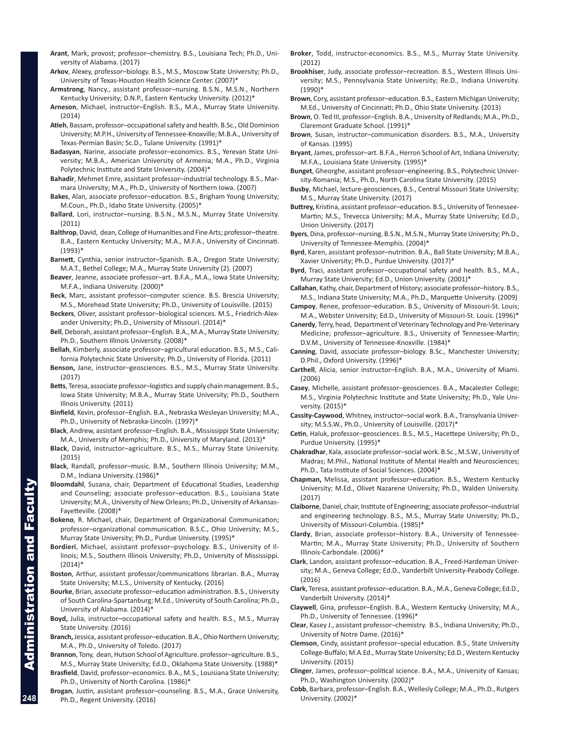- **Arant**, Mark, provost; professor–chemistry. B.S., Louisiana Tech; Ph.D., University of Alabama. (2017)
- **Arkov**, Alexey, professor–biology. B.S., M.S., Moscow State University; Ph.D., University of Texas-Houston Health Science Center. (2007)\*
- **Armstrong**, Nancy., assistant professor–nursing. B.S.N., M.S.N., Northern Kentucky University; D.N.P., Eastern Kentucky University. (2012)\*
- **Arneson**, Michael, instructor–English. B.S., M.A., Murray State University. (2014)
- **Atieh**, Bassam, professor–occupational safety and health. B.Sc., Old Dominion University; M.P.H., University of Tennessee-Knoxville; M.B.A., University of Texas-Permian Basin; Sc.D., Tulane University. (1991)\*
- **Badasyan**, Narine, associate professor–economics. B.S., Yerevan State University; M.B.A., American University of Armenia; M.A., Ph.D., Virginia Polytechnic Institute and State University. (2004)\*
- **Bahadir**, Mehmet Emre, assistant professor–industrial technology. B.S., Marmara University; M.A., Ph.D., University of Northern Iowa. (2007)
- **Bakes**, Alan, associate professor–education. B.S., Brigham Young University; M.Coun., Ph.D., Idaho State University. (2005)\*
- **Ballard**, Lori, instructor–nursing. B.S.N., M.S.N., Murray State University. (2011)
- **Balthrop**, David, dean, College of Humanities and Fine Arts; professor–theatre. B.A., Eastern Kentucky University; M.A., M.F.A., University of Cincinnati. (1993)<sup>\*</sup>
- **Barnett**, Cynthia, senior instructor–Spanish. B.A., Oregon State University; M.A.T., Bethel College; M.A., Murray State University (2). (2007)
- **Beaver**, Jeanne, associate professor–art. B.F.A., M.A., Iowa State University; M.F.A., Indiana University. (2000)\*
- **Beck**, Marc, assistant professor–computer science. B.S. Brescia University; M.S., Morehead State University; Ph.D., University of Louisville. (2015)
- **Beckers**, Oliver, assistant professor–biological sciences. M.S., Friedrich-Alexander University; Ph.D., University of Missouri. (2014)\*
- **Bell**, Deborah, assistant professor–English. B.A., M.A., Murray State University; Ph.D., Southern Illinois University. (2008)\*
- **Bellah**, Kimberly, associate professor–agricultural education. B.S., M.S., California Polytechnic State University; Ph.D., University of Florida. (2011)
- **Benson,** Jane, instructor–geosciences. B.S., M.S., Murray State University. (2017)
- **Betts**, Teresa, associate professor–logistics and supply chain management. B.S., Iowa State University; M.B.A., Murray State University; Ph.D., Southern Illnois University. (2011)
- **Binfield**, Kevin, professor–English. B.A., Nebraska Wesleyan University; M.A., Ph.D., University of Nebraska-Lincoln. (1997)\*
- **Black**, Andrew, assistant professor–English. B.A., Mississippi State University; M.A., University of Memphis; Ph.D., University of Maryland. (2013)\*
- **Black**, David, instructor–agriculture. B.S., M.S., Murray State University. (2015)
- **Black**, Randall, professor–music. B.M., Southern Illinois University; M.M., D.M., Indiana University. (1986)\*
- **Bloomdahl**, Susana, chair, Department of Educational Studies, Leadership and Counseling; associate professor–education. B.S., Louisiana State University; M.A., University of New Orleans; Ph.D., University of Arkansas-Fayetteville. (2008)\*
- Bokeno, R. Michael, chair, Department of Organizational Communication; professor–organizational communication. B.S.C., Ohio University; M.S., Murray State University; Ph.D., Purdue University. (1995)\*
- **Bordieri**, Michael, assistant professor–psychology. B.S., University of Illinois; M.S., Southern Illinois University; Ph.D., University of Mississippi.  $(2014)^*$
- **Boston**, Arthur, assistant professor/communications librarian. B.A., Murray State University; M.L.S., University of Kentucky. (2016)
- **Bourke**, Brian, associate professor–education administration. B.S., University of South Carolina-Spartanburg; M.Ed., University of South Carolina; Ph.D., University of Alabama. (2014)\*
- **Boyd,** Julia, instructor–occupational safety and health. B.S., M.S., Murray State University. (2016)
- **Branch,** Jessica, assistant professor–education. B.A., Ohio Northern University; M.A., Ph.D., University of Toledo. (2017)
- **Brannon**, Tony, dean, Hutson School of Agriculture. professor–agriculture. B.S., M.S., Murray State University; Ed.D., Oklahoma State University. (1988)\*
- **Brasfield**, David, professor–economics. B.A., M.S., Louisiana State University; Ph.D., University of North Carolina. (1986)\*
- **Brogan**, Justin, assistant professor–counseling. B.S., M.A., Grace University, Ph.D., Regent University. (2016)
- **Broker**, Todd, instructor-economics. B.S., M.S., Murray State University. (2012)
- **Brookhiser**, Judy, associate professor–recreation. B.S., Western Illinois University; M.S., Pennsylvania State University; Re.D., Indiana University. (1990)\*
- **Brown**, Cory, assistant professor–education. B.S., Eastern Michigan University; M.Ed., University of Cincinnati; Ph.D., Ohio State University. (2013)
- **Brown**, O. Ted III, professor–English. B.A., University of Redlands; M.A., Ph.D., Claremont Graduate School. (1991)\*
- **Brown**, Susan, instructor–communication disorders. B.S., M.A., University of Kansas. (1995)
- **Bryant**, James, professor–art. B.F.A., Herron School of Art, Indiana University; M.F.A., Louisiana State University. (1995)\*
- **Bunget**, Gheorghe, assistant professor–engineering. B.S., Polytechnic University-Romania; M.S., Ph.D., North Carolina State University. (2015)
- **Busby**, Michael, lecture-geosciences, B.S., Central Missouri State University; M.S., Murray State University. (2017)
- **Buttrey,** Kristina, assistant professor–education. B.S., University of Tennessee-Martin; M.S., Trevecca University; M.A., Murray State University; Ed.D., Union University. (2017)
- **Byers**, Dina, professor–nursing. B.S.N., M.S.N., Murray State University; Ph.D., University of Tennessee-Memphis. (2004)\*
- **Byrd**, Karen, assistant professor–nutrition. B.A., Ball State University; M.B.A., Xavier University; Ph.D., Purdue University. (2017)\*
- **Byrd**, Traci, assistant professor–occupational safety and health. B.S., M.A., Murray State University; Ed.D., Union University. (2001)\*
- **Callahan**, Kathy, chair, Department of History; associate professor–history. B.S., M.S., Indiana State University; M.A., Ph.D., Marquette University. (2009)
- **Campoy**, Renee, professor–education. B.S., University of Missouri-St. Louis; M.A., Webster University; Ed.D., University of Missouri-St. Louis. (1996)\*
- **Canerdy**, Terry, head, Department of Veterinary Technology and Pre-Veterinary Medicine; professor–agriculture. B.S., University of Tennessee-Martin; D.V.M., University of Tennessee-Knoxville. (1984)\*
- **Canning**, David, associate professor–biology. B.Sc., Manchester University; D.Phil., Oxford University. (1996)\*
- **Carthell**, Alicia, senior instructor–English. B.A., M.A., University of Miami. (2006)
- **Casey**, Michelle, assistant professor–geosciences. B.A., Macalester College; M.S., Virginia Polytechnic Institute and State University; Ph.D., Yale University. (2015)\*
- **Cassity-Caywood**, Whitney, instructor–social work. B.A., Transylvania University; M.S.S.W., Ph.D., University of Louisville. (2017)\*
- **Cetin**, Haluk, professor–geosciences. B.S., M.S., Hacettepe University; Ph.D., Purdue University. (1995)\*
- **Chakradhar**, Kala, associate professor–social work. B.Sc., M.S.W., University of Madras; M.Phil., National Institute of Mental Health and Neurosciences; Ph.D., Tata Institute of Social Sciences. (2004)\*
- **Chapman,** Melissa, assistant professor–education. B.S., Western Kentucky University; M.Ed., Olivet Nazarene University; Ph.D., Walden University. (2017)
- **Claiborne**, Daniel, chair, Institute of Engineering; associate professor–industrial and engineering technology. B.S., M.S., Murray State University; Ph.D., University of Missouri-Columbia. (1985)\*
- **Clardy**, Brian, associate professor–history. B.A., University of Tennessee-Martin; M.A., Murray State University; Ph.D., University of Southern Illinois-Carbondale. (2006)\*
- **Clark**, Landon, assistant professor–education. B.A., Freed-Hardeman University; M.A., Geneva College; Ed.D., Vanderbilt University-Peabody College. (2016)
- **Clark**, Teresa, assistant professor–education. B.A., M.A., Geneva College; Ed.D., Vanderbilt University. (2014)\*
- **Claywell**, Gina, professor–English. B.A., Western Kentucky University; M.A., Ph.D., University of Tennessee. (1996)\*
- **Clear**, Kasey J., assistant professor–chemistry. B.S., Indiana University; Ph.D., University of Notre Dame. (2016)\*
- **Clemson**, Cindy, assistant professor–special education. B.S., State University College-Buffalo; M.A.Ed., Murray State University; Ed.D., Western Kentucky University. (2015)
- **Clinger**, James, professor–political science. B.A., M.A., University of Kansas; Ph.D., Washington University. (2002)\*
- **Cobb**, Barbara, professor–English. B.A., Wellesly College; M.A., Ph.D., Rutgers University. (2002)\*

**Facu**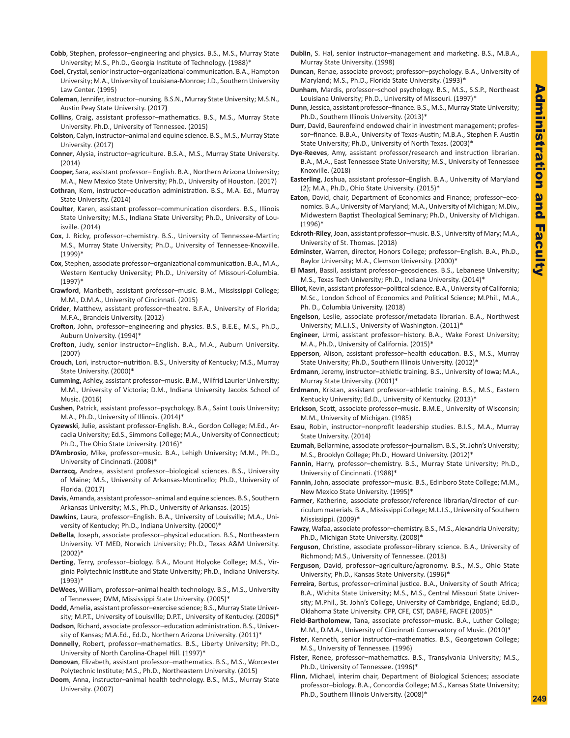- **Cobb**, Stephen, professor–engineering and physics. B.S., M.S., Murray State University; M.S., Ph.D., Georgia Institute of Technology. (1988)\*
- **Coel**, Crystal, senior instructor–organizational communication. B.A., Hampton University; M.A., University of Louisiana-Monroe; J.D., Southern University Law Center. (1995)
- **Coleman**, Jennifer, instructor–nursing. B.S.N., Murray State University; M.S.N., Austin Peay State University. (2017**)**
- **Collins**, Craig, assistant professor–mathematics. B.S., M.S., Murray State University. Ph.D., University of Tennessee. (2015)
- **Colston**, Calyn, instructor–animal and equine science. B.S., M.S., Murray State University. (2017)
- **Conner**, Alysia, instructor–agriculture. B.S.A., M.S., Murray State University. (2014)
- **Cooper,** Sara, assistant professor– English. B.A., Northern Arizona University; M.A., New Mexico State University; Ph.D., University of Houston. (2017)
- **Cothran**, Kem, instructor–education administration. B.S., M.A. Ed., Murray State University. (2014)
- **Coulter**, Karen, assistant professor–communication disorders. B.S., Illinois State University; M.S., Indiana State University; Ph.D., University of Louisville. (2014)
- **Cox**, J. Ricky, professor–chemistry. B.S., University of Tennessee-Martin; M.S., Murray State University; Ph.D., University of Tennessee-Knoxville. (1999)\*
- **Cox**, Stephen, associate professor–organizational communication. B.A., M.A., Western Kentucky University; Ph.D., University of Missouri-Columbia. (1997)\*
- **Crawford**, Maribeth, assistant professor–music. B.M., Mississippi College; M.M., D.M.A., University of Cincinnati. (2015)
- **Crider**, Matthew, assistant professor–theatre. B.F.A., University of Florida; M.F.A., Brandeis University. (2012)
- **Crofton**, John, professor–engineering and physics. B.S., B.E.E., M.S., Ph.D., Auburn University. (1994)\*
- **Crofton**, Judy, senior instructor–English. B.A., M.A., Auburn University. (2007)
- **Crouch**, Lori, instructor–nutrition. B.S., University of Kentucky; M.S., Murray State University. (2000)\*
- **Cumming,** Ashley, assistant professor–music. B.M., Wilfrid Laurier University; M.M., University of Victoria; D.M., Indiana University Jacobs School of Music. (2016)
- **Cushen**, Patrick, assistant professor–psychology. B.A., Saint Louis University; M.A., Ph.D., University of Illinois. (2014)\*
- **Cyzewski**, Julie, assistant professor-English. B.A., Gordon College; M.Ed., Arcadia University; Ed.S., Simmons College; M.A., University of Connecticut; Ph.D., The Ohio State University. (2016)\*
- **D'Ambrosio**, Mike, professor–music. B.A., Lehigh University; M.M., Ph.D., University of Cincinnati. (2008)\*
- **Darracq,** Andrea, assistant professor–biological sciences. B.S., University of Maine; M.S., University of Arkansas-Monticello; Ph.D., University of Florida. (2017)
- **Davis**, Amanda, assistant professor–animal and equine sciences. B.S., Southern Arkansas University; M.S., Ph.D., University of Arkansas. (2015)
- **Dawkins**, Laura, professor–English. B.A., University of Louisville; M.A., University of Kentucky; Ph.D., Indiana University. (2000)\*
- **DeBella**, Joseph, associate professor–physical education. B.S., Northeastern University. VT MED, Norwich University; Ph.D., Texas A&M University. (2002)\*
- **Derting**, Terry, professor–biology. B.A., Mount Holyoke College; M.S., Virginia Polytechnic Institute and State University; Ph.D., Indiana University. (1993)\*
- **DeWees**, William, professor–animal health technology. B.S., M.S., University of Tennessee; DVM, Mississippi State University. (2005)\*
- **Dodd**, Amelia, assistant professor–exercise science; B.S., Murray State University; M.P.T., University of Louisville; D.P.T., University of Kentucky. (2006)\*
- **Dodson**, Richard, associate professor–education administration. B.S., University of Kansas; M.A.Ed., Ed.D., Northern Arizona University. (2011)\*
- **Donnelly**, Robert, professor–mathematics. B.S., Liberty University; Ph.D., University of North Carolina-Chapel Hill. (1997)\*
- **Donovan**, Elizabeth, assistant professor–mathematics. B.S., M.S., Worcester Polytechnic Institute; M.S., Ph.D., Northeastern University. (2015)
- **Doom**, Anna, instructor–animal health technology. B.S., M.S., Murray State University. (2007)
- **Dublin**, S. Hal, senior instructor–management and marketing. B.S., M.B.A., Murray State University. (1998)
- **Duncan**, Renae, associate provost; professor–psychology. B.A., University of Maryland; M.S., Ph.D., Florida State University. (1993)\*
- **Dunham**, Mardis, professor–school psychology. B.S., M.S., S.S.P., Northeast Louisiana University; Ph.D., University of Missouri. (1997)\*
- **Dunn**, Jessica, assistant professor–finance. B.S., M.S., Murray State University; Ph.D., Southern Illinois University. (2013)\*
- **Durr**, David, Baurenfeind endowed chair in investment management; professor–finance. B.B.A., University of Texas-Austin; M.B.A., Stephen F. Austin State University; Ph.D., University of North Texas. (2003)\*
- **Dye-Reeves**, Amy, assistant professor/research and instruction librarian. B.A., M.A., East Tennessee State University; M.S., University of Tennessee Knoxville. (2018)
- **Easterling**, Joshua, assistant professor–English. B.A., University of Maryland (2); M.A., Ph.D., Ohio State University. (2015)\*
- **Eaton**, David, chair, Department of Economics and Finance; professor–economics. B.A., University of Maryland; M.A., University of Michigan; M.Div., Midwestern Baptist Theological Seminary; Ph.D., University of Michigan. (1996)\*
- **Eckroth-Riley**, Joan, assistant professor–music. B.S., University of Mary; M.A., University of St. Thomas. (2018)
- **Edminster**, Warren, director, Honors College; professor–English. B.A., Ph.D., Baylor University; M.A., Clemson University. (2000)\*
- **El Masri**, Bassil, assistant professor–geosciences. B.S., Lebanese University; M.S., Texas Tech University; Ph.D., Indiana University. (2014)\*
- **Elliot**, Kevin, assistant professor–political science. B.A., University of California; M.Sc., London School of Economics and Political Science; M.Phil., M.A., Ph. D., Columbia University. (2018)
- **Engelson**, Leslie, associate professor/metadata librarian. B.A., Northwest University; M.L.I.S., University of Washington. (2011)\*
- **Engineer**, Urmi, assistant professor–history. B.A., Wake Forest University; M.A., Ph.D., University of California. (2015)\*
- **Epperson**, Alison, assistant professor–health education. B.S., M.S., Murray State University; Ph.D., Southern Illinois University. (2012)\*
- **Erdmann**, Jeremy, instructor–athletic training. B.S., University of Iowa; M.A., Murray State University. (2001)\*
- **Erdmann**, Kristan, assistant professor–athletic training. B.S., M.S., Eastern Kentucky University; Ed.D., University of Kentucky. (2013)\*
- **Erickson**, Scott, associate professor–music. B.M.E., University of Wisconsin; M.M., University of Michigan. (1985)
- **Esau**, Robin, instructor–nonprofit leadership studies. B.I.S., M.A., Murray State University. (2014)
- **Ezumah**, Bellarmine, associate professor–journalism. B.S., St. John's University; M.S., Brooklyn College; Ph.D., Howard University. (2012)\*
- **Fannin**, Harry, professor–chemistry. B.S., Murray State University; Ph.D., University of Cincinnati. (1988)\*
- **Fannin**, John, associate professor–music. B.S., Edinboro State College; M.M., New Mexico State University. (1995)\*
- **Farmer**, Katherine, associate professor/reference librarian/director of curriculum materials. B.A., Mississippi College; M.L.I.S., University of Southern Mississippi. (2009)\*
- **Fawzy**, Wafaa, associate professor–chemistry. B.S., M.S., Alexandria University; Ph.D., Michigan State University. (2008)\*
- **Ferguson**, Christine, associate professor–library science. B.A., University of Richmond; M.S., University of Tennessee. (2013)
- **Ferguson**, David, professor–agriculture/agronomy. B.S., M.S., Ohio State University; Ph.D., Kansas State University. (1996)\*
- **Ferreira**, Bertus, professor–criminal justice. B.A., University of South Africa; B.A., Wichita State University; M.S., M.S., Central Missouri State University; M.Phil., St. John's College, University of Cambridge, England; Ed.D., Oklahoma State University. CPP, CFE, CST, DABFE, FACFE (2005)\*
- **Field-Bartholomew**, Tana, associate professor–music. B.A., Luther College; M.M., D.M.A., University of Cincinnati Conservatory of Music. (2010)\*
- **Fister**, Kenneth, senior instructor–mathematics. B.S., Georgetown College; M.S., University of Tennessee. (1996)
- **Fister**, Renee, professor–mathematics. B.S., Transylvania University; M.S., Ph.D., University of Tennessee. (1996)\*
- **Flinn**, Michael, interim chair, Department of Biological Sciences; associate professor–biology. B.A., Concordia College; M.S., Kansas State University; Ph.D., Southern Illinois University. (2008)\*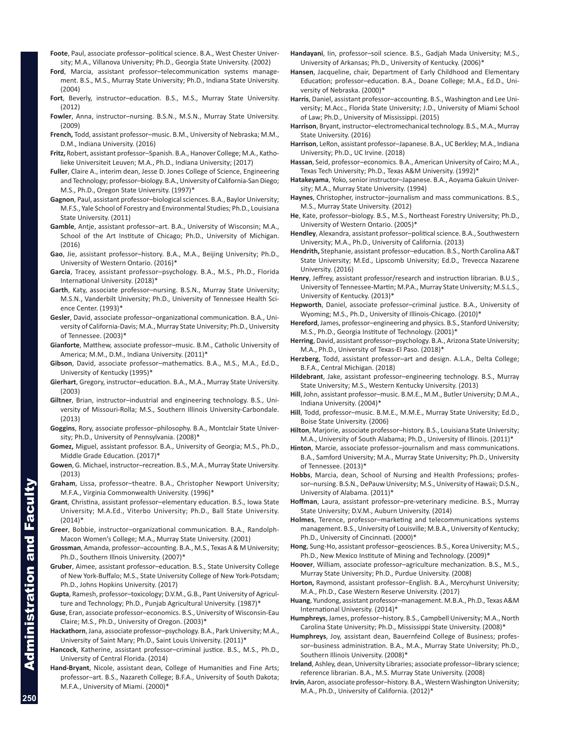- **Foote**, Paul, associate professor–political science. B.A., West Chester University; M.A., Villanova University; Ph.D., Georgia State University. (2002)
- **Ford**, Marcia, assistant professor–telecommunication systems management. B.S., M.S., Murray State University; Ph.D., Indiana State University. (2004)
- **Fort**, Beverly, instructor–education. B.S., M.S., Murray State University. (2012)
- **Fowler**, Anna, instructor–nursing. B.S.N., M.S.N., Murray State University. (2009)
- **French,** Todd, assistant professor–music. B.M., University of Nebraska; M.M., D.M., Indiana University. (2016)
- **Fritz,** Robert, assistant professor–Spanish. B.A., Hanover College; M.A., Katholieke Universiteit Leuven; M.A., Ph.D., Indiana University; (2017)
- **Fuller**, Claire A., interim dean, Jesse D. Jones College of Science, Engineering and Technology; professor–biology. B.A., University of California-San Diego; M.S., Ph.D., Oregon State University. (1997)\*
- **Gagnon**, Paul, assistant professor–biological sciences. B.A., Baylor University; M.F.S., Yale School of Forestry and Environmental Studies; Ph.D., Louisiana State University. (2011)
- **Gamble**, Antje, assistant professor–art. B.A., University of Wisconsin; M.A., School of the Art Institute of Chicago; Ph.D., University of Michigan. (2016)
- **Gao**, Jie, assistant professor–history. B.A., M.A., Beijing University; Ph.D., University of Western Ontario. (2016)\*
- **Garcia**, Tracey, assistant professor–psychology. B.A., M.S., Ph.D., Florida International University. (2018)<sup>\*</sup>
- **Garth**, Katy, associate professor–nursing. B.S.N., Murray State University; M.S.N., Vanderbilt University; Ph.D., University of Tennessee Health Science Center. (1993)\*
- **Gesler**, David, associate professor–organizational communication. B.A., University of California-Davis; M.A., Murray State University; Ph.D., University of Tennessee. (2003)\*
- **Gianforte**, Matthew, associate professor–music. B.M., Catholic University of America; M.M., D.M., Indiana University. (2011)\*
- **Gibson**, David, associate professor–mathematics. B.A., M.S., M.A., Ed.D., University of Kentucky (1995)\*
- **Gierhart**, Gregory, instructor–education. B.A., M.A., Murray State University. (2003)
- **Giltner**, Brian, instructor–industrial and engineering technology. B.S., University of Missouri-Rolla; M.S., Southern Illinois University-Carbondale. (2013)
- **Goggins**, Rory, associate professor–philosophy. B.A., Montclair State University; Ph.D., University of Pennsylvania. (2008)\*
- **Gomez,** Miguel, assistant professor. B.A., University of Georgia; M.S., Ph.D., Middle Grade Education. (2017)\*
- **Gowen**, G. Michael, instructor–recreation. B.S., M.A., Murray State University. (2013)
- **Graham**, Lissa, professor–theatre. B.A., Christopher Newport University; M.F.A., Virginia Commonwealth University. (1996)\*
- **Grant**, Christina, assistant professor–elementary education. B.S., Iowa State University; M.A.Ed., Viterbo University; Ph.D., Ball State University. (2014)\*
- **Greer**, Bobbie, instructor–organizational communication. B.A., Randolph-Macon Women's College; M.A., Murray State University. (2001)
- **Grossman**, Amanda, professor–accounting. B.A., M.S., Texas A & M University; Ph.D., Southern Illnois University. (2007)\*
- **Gruber**, Aimee, assistant professor–education. B.S., State University College of New York-Buffalo; M.S., State University College of New York-Potsdam; Ph.D., Johns Hopkins University. (2017)
- **Gupta**, Ramesh, professor–toxicology; D.V.M., G.B., Pant University of Agriculture and Technology; Ph.D., Punjab Agricultural University. (1987)\*
- **Guse**, Eran, associate professor–economics. B.S., University of Wisconsin-Eau Claire; M.S., Ph.D., University of Oregon. (2003)\*
- **Hackathorn**, Jana, associate professor–psychology. B.A., Park University; M.A., University of Saint Mary; Ph.D., Saint Louis University. (2011)\*
- **Hancock**, Katherine, assistant professor–criminal justice. B.S., M.S., Ph.D., University of Central Florida. (2014)
- **Hand-Bryant**, Nicole, assistant dean, College of Humanities and Fine Arts; professor–art. B.S., Nazareth College; B.F.A., University of South Dakota; M.F.A., University of Miami. (2000)\*
- **Handayani**, Iin, professor–soil science. B.S., Gadjah Mada University; M.S., University of Arkansas; Ph.D., University of Kentucky. (2006)\*
- **Hansen**, Jacqueline, chair, Department of Early Childhood and Elementary Education; professor–education. B.A., Doane College; M.A., Ed.D., University of Nebraska. (2000)\*
- **Harris**, Daniel, assistant professor–accounting. B.S., Washington and Lee University; M.Acc., Florida State University; J.D., University of Miami School of Law; Ph.D., University of Mississippi. (2015)
- **Harrison**, Bryant, instructor–electromechanical technology. B.S., M.A., Murray State University. (2016)
- **Harrison**, LeRon, assistant professor–Japanese. B.A., UC Berkley; M.A., Indiana University; Ph.D., UC Irvine. (2018)
- **Hassan**, Seid, professor–economics. B.A., American University of Cairo; M.A., Texas Tech University; Ph.D., Texas A&M University. (1992)\*
- **Hatakeyama**, Yoko, senior instructor–Japanese. B.A., Aoyama Gakuin University; M.A., Murray State University. (1994)
- **Haynes**, Christopher, instructor–journalism and mass communications. B.S., M.S., Murray State University. (2012)
- **He**, Kate, professor–biology. B.S., M.S., Northeast Forestry University; Ph.D., University of Western Ontario. (2005)\*
- **Hendley**, Alexandra, assistant professor–political science. B.A., Southwestern University; M.A., Ph.D., University of California. (2013)
- **Hendrith,** Stephanie, assistant professor–education. B.S., North Carolina A&T State University; M.Ed., Lipscomb University; Ed.D., Trevecca Nazarene University. (2016)
- **Henry**, Jeffrey, assistant professor/research and instruction librarian. B.U.S., University of Tennessee-Martin; M.P.A., Murray State University; M.S.L.S., University of Kentucky. (2013)\*
- **Hepworth**, Daniel, associate professor–criminal justice. B.A., University of Wyoming; M.S., Ph.D., University of Illinois-Chicago. (2010)\*
- **Hereford**, James, professor–engineering and physics. B.S., Stanford University; M.S., Ph.D., Georgia Institute of Technology. (2001)\*
- **Herring**, David, assistant professor–psychology. B.A., Arizona State University; M.A., Ph.D., University of Texas-El Paso. (2018)\*
- **Herzberg**, Todd, assistant professor–art and design. A.L.A., Delta College; B.F.A., Central Michigan. (2018)
- **Hildebrant**, Jake, assistant professor–engineering technology. B.S., Murray State University; M.S., Western Kentucky University. (2013)
- **Hill**, John, assistant professor–music. B.M.E., M.M., Butler University; D.M.A., Indiana University. (2004)\*
- **Hill**, Todd, professor–music. B.M.E., M.M.E., Murray State University; Ed.D., Boise State University. (2006)
- **Hilton**, Marjorie, associate professor–history. B.S., Louisiana State University; M.A., University of South Alabama; Ph.D., University of Illinois. (2011)\*
- **Hinton**, Marcie, associate professor–journalism and mass communications. B.A., Samford University; M.A., Murray State University; Ph.D., University of Tennessee. (2013)\*
- **Hobbs**, Marcia, dean, School of Nursing and Health Professions; professor–nursing. B.S.N., DePauw University; M.S., University of Hawaii; D.S.N., University of Alabama. (2011)\*
- **Hoffman**, Laura, assistant professor–pre-veterinary medicine. B.S., Murray State University; D.V.M., Auburn University. (2014)
- **Holmes**, Terence, professor–marketing and telecommunications systems management. B.S., University of Louisville; M.B.A., University of Kentucky; Ph.D., University of Cincinnati. (2000)\*
- **Hong**, Sung-Ho, assistant professor–geosciences. B.S., Korea University; M.S., Ph.D., New Mexico Institute of Mining and Technology. (2009)\*
- **Hoover**, William, associate professor–agriculture mechanization. B.S., M.S., Murray State University; Ph.D., Purdue University. (2008)
- **Horton,** Raymond, assistant professor–English. B.A., Mercyhurst University; M.A., Ph.D., Case Western Reserve University. (2017)
- **Huang**, Yundong, assistant professor–management. M.B.A., Ph.D., Texas A&M International University. (2014)\*
- **Humphreys**, James, professor–history. B.S., Campbell University; M.A., North Carolina State University; Ph.D., Mississippi State University. (2008)\*
- **Humphreys**, Joy, assistant dean, Bauernfeind College of Business; professor–business administration. B.A., M.A., Murray State University; Ph.D., Southern Illinois University. (2008)\*
- **Ireland**, Ashley, dean, University Libraries; associate professor–library science; reference librarian. B.A., M.S. Murray State University. (2008)
- **Irvin**, Aaron, associate professor–history. B.A., Western Washington University; M.A., Ph.D., University of California. (2012)\*

**250**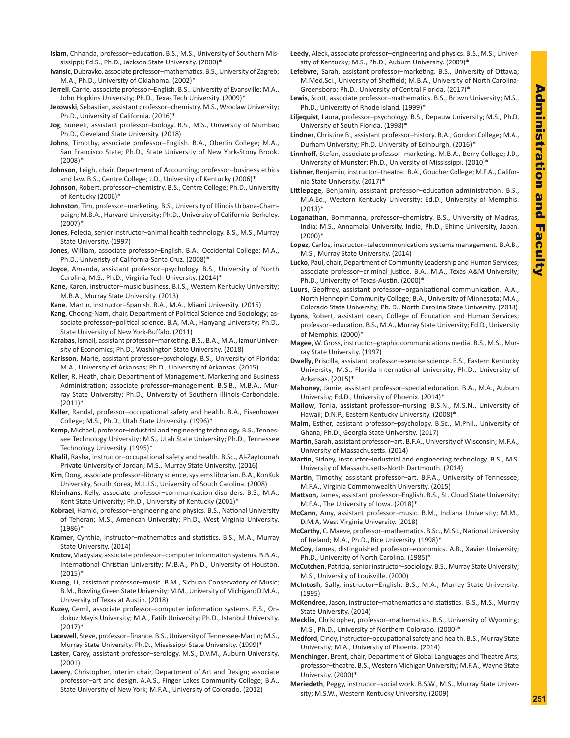- **Islam**, Chhanda, professor–education. B.S., M.S., University of Southern Mississippi; Ed.S., Ph.D., Jackson State University. (2000)\*
- **Ivansic**, Dubravko, associate professor–mathematics. B.S., University of Zagreb; M.A., Ph.D., University of Oklahoma. (2002)\*
- **Jerrell**, Carrie, associate professor–English. B.S., University of Evansville; M.A., John Hopkins University; Ph.D., Texas Tech University. (2009)'
- **Jezowski**, Sebastian, assistant professor–chemistry. M.S., Wroclaw University; Ph.D., University of California. (2016)\*
- **Jog**, Suneeti, assistant professor–biology. B.S., M.S., University of Mumbai; Ph.D., Cleveland State University. (2018)
- **Johns**, Timothy, associate professor–English. B.A., Oberlin College; M.A., San Francisco State; Ph.D., State University of New York-Stony Brook. (2008)\*
- **Johnson**, Leigh, chair, Department of Accounting; professor–business ethics and law. B.S., Centre College; J.D., University of Kentucky (2006)\*
- **Johnson**, Robert, professor–chemistry. B.S., Centre College; Ph.D., University of Kentucky (2006)\*
- **Johnston**, Tim, professor–marketing. B.S., University of Illinois Urbana-Champaign; M.B.A., Harvard University; Ph.D., University of California-Berkeley. (2007)\*
- **Jones**, Felecia, senior instructor–animal health technology. B.S., M.S., Murray State University. (1997)
- **Jones**, William, associate professor–English. B.A., Occidental College; M.A., Ph.D., Univeristy of California-Santa Cruz. (2008)\*
- **Joyce**, Amanda, assistant professor–psychology. B.S., University of North Carolina; M.S., Ph.D., Virginia Tech University. (2014)\*
- **Kane,** Karen, instructor–music business. B.I.S., Western Kentucky University; M.B.A., Murray State University. (2013)
- **Kane**, Martin, instructor–Spanish. B.A., M.A., Miami University. (2015)
- **Kang**, Choong-Nam, chair, Department of Political Science and Sociology; associate professor–political science. B.A, M.A., Hanyang University; Ph.D., State University of New York-Buffalo. (2011)
- **Karabas**, Ismail, assistant professor–marketing. B.S., B.A., M.A., Izmur University of Economics; Ph.D., Washington State University. (2018)
- **Karlsson**, Marie, assistant professor–psychology. B.S., University of Florida; M.A., University of Arkansas; Ph.D., University of Arkansas. (2015)
- **Keller**, R. Heath, chair, Department of Management, Marketing and Business Administration; associate professor–management. B.S.B., M.B.A., Murray State University; Ph.D., University of Southern Illinois-Carbondale.  $(2011)^*$
- **Keller**, Randal, professor–occupational safety and health. B.A., Eisenhower College; M.S., Ph.D., Utah State University. (1996)\*
- **Kemp**, Michael, professor–industrial and engineering technology. B.S., Tennessee Technology University; M.S., Utah State University; Ph.D., Tennessee Technology University. (1995)\*
- **Khalil**, Rasha, instructor–occupational safety and health. B.Sc., Al-Zaytoonah Private University of Jordan; M.S., Murray State University. (2016)
- **Kim**, Dong, associate professor–library science, systems librarian. B.A., KonKuk University, South Korea, M.L.I.S., University of South Carolina. (2008)
- **Kleinhans**, Kelly, associate professor–communication disorders. B.S., M.A., Kent State University; Ph.D., University of Kentucky (2001)\*
- **Kobraei**, Hamid, professor–engineering and physics. B.S., National University of Teheran; M.S., American University; Ph.D., West Virginia University. (1986)\*
- **Kramer**, Cynthia, instructor–mathematics and statistics. B.S., M.A., Murray State University. (2014)
- **Krotov**, Vladyslav, associate professor–computer information systems. B.B.A., International Christian University; M.B.A., Ph.D., University of Houston.  $(2015)*$
- **Kuang**, Li, assistant professor–music. B.M., Sichuan Conservatory of Music; B.M., Bowling Green State University; M.M., University of Michigan; D.M.A., University of Texas at Austin. (2018)
- **Kuzey,** Cemil, associate professor–computer information systems. B.S., Ondokuz Mayis University; M.A., Fatih University; Ph.D., Istanbul University. (2017)\*
- **Lacewell**, Steve, professor–finance. B.S., University of Tennessee-Martin; M.S., Murray State University. Ph.D., Mississippi State University. (1999)\*
- **Laster**, Carey, assistant professor–serology. M.S., D.V.M., Auburn University. (2001)
- **Lavery**, Christopher, interim chair, Department of Art and Design; associate professor–art and design. A.A.S., Finger Lakes Community College; B.A., State University of New York; M.F.A., University of Colorado. (2012)
- **Leedy**, Aleck, associate professor–engineering and physics. B.S., M.S., University of Kentucky; M.S., Ph.D., Auburn University. (2009)\*
- **Lefebvre,** Sarah, assistant professor–marketing. B.S., University of Ottawa; M.Med.Sci., University of Sheffield; M.B.A., University of North Carolina-Greensboro; Ph.D., University of Central Florida. (2017)\*
- **Lewis**, Scott, associate professor–mathematics. B.S., Brown University; M.S., Ph.D., University of Rhode Island. (1999)\*
- **Liljequist**, Laura, professor–psychology. B.S., Depauw University; M.S., Ph.D, University of South Florida. (1998)\*
- **Lindner**, Christine B., assistant professor–history. B.A., Gordon College; M.A., Durham University; Ph.D. University of Edinburgh. (2016)\*
- **Linnhoff**, Stefan, associate professor–marketing. M.B.A., Berry College; J.D., University of Munster; Ph.D., University of Mississippi. (2010)\*
- **Lishner**, Benjamin, instructor–theatre. B.A., Goucher College; M.F.A., California State University. (2017)\*
- **Littlepage**, Benjamin, assistant professor–education administration. B.S., M.A.Ed., Western Kentucky University; Ed.D., University of Memphis.  $(2013)*$
- **Loganathan**, Bommanna, professor–chemistry. B.S., University of Madras, India; M.S., Annamalai University, India; Ph.D., Ehime University, Japan. (2000)\*
- **Lopez**, Carlos, instructor–telecommunications systems management. B.A.B., M.S., Murray State University. (2014)
- **Lucko**, Paul, chair, Department of Community Leadership and Human Services; associate professor–criminal justice. B.A., M.A., Texas A&M University; Ph.D., University of Texas-Austin. (2000)\*
- **Luurs**, Geoffrey, assistant professor–organizational communication. A.A., North Hennepin Community College; B.A., University of Minnesota; M.A., Colorado State University; Ph. D., North Carolina State University. (2018)
- **Lyons**, Robert, assistant dean, College of Education and Human Services; professor–education. B.S., M.A., Murray State University; Ed.D., University of Memphis. (2000)\*
- **Magee**, W. Gross, instructor–graphic communications media. B.S., M.S., Murray State University. (1997)
- **Dwelly**, Priscilla, assistant professor–exercise science. B.S., Eastern Kentucky University; M.S., Florida International University; Ph.D., University of Arkansas. (2015)\*
- **Mahoney**, Jamie, assistant professor–special education. B.A., M.A., Auburn University; Ed.D., University of Phoenix. (2014)\*
- **Mailow**, Tonia, assistant professor–nursing. B.S.N., M.S.N., University of Hawaii; D.N.P., Eastern Kentucky University. (2008)\*
- **Malm,** Esther, assistant professor–psychology. B.Sc., M.Phil., University of Ghana; Ph.D., Georgia State University. (2017)
- **Martin**, Sarah, assistant professor–art. B.F.A., University of Wisconsin; M.F.A., University of Massachusetts. (2014)
- **Martin**, Sidney, instructor–industrial and engineering technology. B.S., M.S. University of Massachusetts-North Dartmouth. (2014)
- **Martin**, Timothy, assistant professor–art. B.F.A., University of Tennessee; M.F.A., Virginia Commonwealth University. (2015)
- **Mattson,** James, assistant professor–English. B.S., St. Cloud State University; M.F.A., The University of Iowa. (2018)\*
- **McCann**, Amy, assistant professor–music. B.M., Indiana University; M.M., D.M.A, West Virginia University. (2018)
- **McCarthy**, C. Maeve, professor–mathematics. B.Sc., M.Sc., National University of Ireland; M.A., Ph.D., Rice University. (1998)\*
- **McCoy**, James, distinguished professor–economics. A.B., Xavier University; Ph.D., University of North Carolina. (1985)\*
- **McCutchen**, Patricia, senior instructor–sociology. B.S., Murray State University; M.S., University of Louisville. (2000)
- **McIntosh**, Sally, instructor–English. B.S., M.A., Murray State University. (1995)
- **McKendree**, Jason, instructor–mathematics and statistics. B.S., M.S., Murray State University. (2014)
- **Mecklin**, Christopher, professor–mathematics. B.S., University of Wyoming; M.S., Ph.D., University of Northern Colorado. (2000)\*
- **Medford**, Cindy, instructor–occupational safety and health. B.S., Murray State University; M.A., University of Phoenix. (2014)
- **Menchinger**, Brent, chair, Department of Global Languages and Theatre Arts; professor–theatre. B.S., Western Michigan University; M.F.A., Wayne State University. (2000)\*
- **Meriedeth**, Peggy, instructor–social work. B.S.W., M.S., Murray State University; M.S.W., Western Kentucky University. (2009)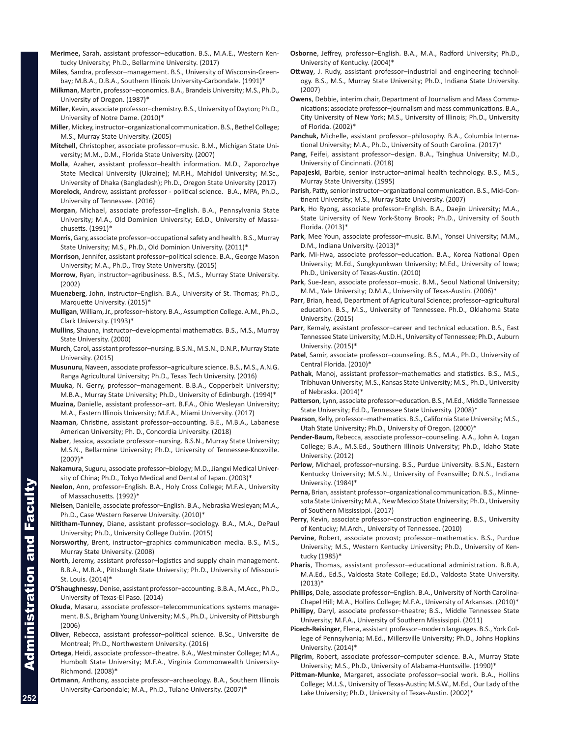- **Merimee,** Sarah, assistant professor–education. B.S., M.A.E., Western Kentucky University; Ph.D., Bellarmine University. (2017)
- **Miles**, Sandra, professor–management. B.S., University of Wisconsin-Greenbay; M.B.A., D.B.A., Southern Illinois University-Carbondale. (1991)\*
- **Milkman**, Martin, professor–economics. B.A., Brandeis University; M.S., Ph.D., University of Oregon. (1987)\*
- **Miller**, Kevin, associate professor–chemistry. B.S., University of Dayton; Ph.D., University of Notre Dame. (2010)\*
- **Miller**, Mickey, instructor–organizational communication. B.S., Bethel College; M.S., Murray State University. (2005)
- **Mitchell**, Christopher, associate professor–music. B.M., Michigan State University; M.M., D.M., Florida State University. (2007)
- **Molla**, Azaher, assistant professor–health information. M.D., Zaporozhye State Medical University (Ukraine); M.P.H., Mahidol University; M.Sc., University of Dhaka (Bangladesh); Ph.D., Oregon State University (2017)
- **Morelock**, Andrew, assistant professor political science. B.A., MPA, Ph.D., University of Tennessee. (2016)
- **Morgan**, Michael, associate professor–English. B.A., Pennsylvania State University; M.A., Old Dominion University; Ed.D., University of Massachusetts. (1991)\*
- **Morris**, Gary, associate professor–occupational safety and health. B.S., Murray State University; M.S., Ph.D., Old Dominion University. (2011)\*
- **Morrison**, Jennifer, assistant professor–political science. B.A., George Mason University; M.A., Ph.D., Troy State University. (2015)
- **Morrow**, Ryan, instructor–agribusiness. B.S., M.S., Murray State University. (2002)
- **Muenzberg**, John, instructor–English. B.A., University of St. Thomas; Ph.D., Marquette University. (2015)\*
- **Mulligan**, William, Jr., professor–history. B.A., Assumption College. A.M., Ph.D., Clark University. (1993)\*
- **Mullins**, Shauna, instructor–developmental mathematics. B.S., M.S., Murray State University. (2000)
- **Murch**, Carol, assistant professor–nursing. B.S.N., M.S.N., D.N.P., Murray State University. (2015)
- **Musunuru**, Naveen, associate professor–agriculture science. B.S., M.S., A.N.G. Ranga Agricultural University; Ph.D., Texas Tech University. (2016)
- **Muuka**, N. Gerry, professor–management. B.B.A., Copperbelt University; M.B.A., Murray State University; Ph.D., University of Edinburgh. (1994)\*
- **Muzina,** Danielle, assistant professor–art. B.F.A., Ohio Wesleyan University; M.A., Eastern Illinois University; M.F.A., Miami University. (2017)
- **Naaman**, Christine, assistant professor–accounting. B.E., M.B.A., Labanese American University; Ph. D., Concordia University. (2018)
- **Naber**, Jessica, associate professor–nursing. B.S.N., Murray State University; M.S.N., Bellarmine University; Ph.D., University of Tennessee-Knoxville. (2007)\*
- **Nakamura**, Suguru, associate professor–biology; M.D., Jiangxi Medical University of China; Ph.D., Tokyo Medical and Dental of Japan. (2003)\*
- **Neelon**, Ann, professor–English. B.A., Holy Cross College; M.F.A., University of Massachusetts. (1992)\*
- **Nielsen**, Danielle, associate professor–English. B.A., Nebraska Wesleyan; M.A., Ph.D., Case Western Reserve University. (2010)\*
- **Nititham-Tunney**, Diane, assistant professor–sociology. B.A., M.A., DePaul University; Ph.D., University College Dublin. (2015)
- **Norsworthy**, Brent, instructor–graphics communication media. B.S., M.S., Murray State University. (2008)
- **North**, Jeremy, assistant professor–logistics and supply chain management. B.B.A., M.B.A., Pittsburgh State University; Ph.D., University of Missouri-St. Louis. (2014)\*
- **O'Shaughnessy**, Denise, assistant professor–accounting. B.B.A., M.Acc., Ph.D., University of Texas-El Paso. (2014)
- **Okuda**, Masaru, associate professor–telecommunications systems management. B.S., Brigham Young University; M.S., Ph.D., University of Pittsburgh (2006)
- **Oliver**, Rebecca, assistant professor–political science. B.Sc., Universite de Montreal; Ph.D., Northwestern University. (2016)
- **Ortega**, Heidi, associate professor–theatre. B.A., Westminster College; M.A., Humbolt State University; M.F.A., Virginia Commonwealth University-Richmond. (2008)\*
- **Ortmann**, Anthony, associate professor–archaeology. B.A., Southern Illinois University-Carbondale; M.A., Ph.D., Tulane University. (2007)\*
- **Osborne**, Jeffrey, professor–English. B.A., M.A., Radford University; Ph.D., University of Kentucky. (2004)\*
- **Ottway**, J. Rudy, assistant professor–industrial and engineering technology. B.S., M.S., Murray State University; Ph.D., Indiana State University. (2007)
- **Owens**, Debbie, interim chair, Department of Journalism and Mass Communications; associate professor–journalism and mass communications. B.A., City University of New York; M.S., University of Illinois; Ph.D., University of Florida. (2002)\*
- **Panchuk,** Michelle, assistant professor–philosophy. B.A., Columbia International University; M.A., Ph.D., University of South Carolina. (2017)\*
- **Pang**, Feifei, assistant professor–design. B.A., Tsinghua University; M.D., University of Cincinnati. (2018)
- **Papajeski**, Barbie, senior instructor–animal health technology. B.S., M.S., Murray State University. (1995)
- **Parish**, Patty, senior instructor–organizational communication. B.S., Mid-Continent University; M.S., Murray State University. (2007)
- **Park**, Ho Ryong, associate professor–English. B.A., Daejin University; M.A., State University of New York-Stony Brook; Ph.D., University of South Florida. (2013)\*
- **Park**, Mee Youn, associate professor–music. B.M., Yonsei University; M.M., D.M., Indiana University. (2013)\*
- **Park**, Mi-Hwa, associate professor–education. B.A., Korea National Open University; M.Ed., Sungkyunkwan University; M.Ed., University of Iowa; Ph.D., University of Texas-Austin. (2010)
- **Park**, Sue-Jean, associate professor–music. B.M., Seoul National University; M.M., Yale University; D.M.A., University of Texas-Austin. (2006)\*
- **Parr**, Brian, head, Department of Agricultural Science; professor–agricultural education. B.S., M.S., University of Tennessee. Ph.D., Oklahoma State University. (2015)
- **Parr**, Kemaly, assistant professor–career and technical education. B.S., East Tennessee State University; M.D.H., University of Tennessee; Ph.D., Auburn University. (2015)\*
- **Patel**, Samir, associate professor–counseling. B.S., M.A., Ph.D., University of Central Florida. (2010)\*
- **Pathak**, Manoj, assistant professor–mathematics and statistics. B.S., M.S., Tribhuvan University; M.S., Kansas State University; M.S., Ph.D., University of Nebraska. (2014)\*
- **Patterson**, Lynn, associate professor–education. B.S., M.Ed., Middle Tennessee State University; Ed.D., Tennessee State University. (2008)\*
- **Pearson**, Kelly, professor–mathematics. B.S., California State University; M.S., Utah State University; Ph.D., University of Oregon. (2000)\*
- **Pender-Baum,** Rebecca, associate professor–counseling. A.A., John A. Logan College; B.A., M.S.Ed., Southern Illinois University; Ph.D., Idaho State University. (2012)
- **Perlow**, Michael, professor–nursing. B.S., Purdue University. B.S.N., Eastern Kentucky University; M.S.N., University of Evansville; D.N.S., Indiana University. (1984)\*
- **Perna,** Brian, assistant professor–organizational communication. B.S., Minnesota State University; M.A., New Mexico State University; Ph.D., University of Southern Mississippi. (2017)
- **Perry**, Kevin, associate professor–construction engineering. B.S., University of Kentucky; M.Arch., University of Tennessee. (2010)
- **Pervine**, Robert, associate provost; professor–mathematics. B.S., Purdue University; M.S., Western Kentucky University; Ph.D., University of Kentucky (1985)\*
- **Pharis**, Thomas, assistant professor–educational administration. B.B.A, M.A.Ed., Ed.S., Valdosta State College; Ed.D., Valdosta State University.  $(2013)*$
- **Phillips**, Dale, associate professor–English. B.A., University of North Carolina-Chapel Hill; M.A., Hollins College; M.F.A., University of Arkansas. (2010)\*
- **Phillipy**, Daryl, associate professor–theatre; B.S., Middle Tennessee State University; M.F.A., University of Southern Mississippi. (2011)
- **Picech-Reisinger**, Elena, assistant professor–modern languages. B.S., York College of Pennsylvania; M.Ed., Millersville University; Ph.D., Johns Hopkins University. (2014)\*
- **Pilgrim**, Robert, associate professor–computer science. B.A., Murray State University; M.S., Ph.D., University of Alabama-Huntsville. (1990)\*
- **Pittman-Munke**, Margaret, associate professor–social work. B.A., Hollins College; M.L.S., University of Texas-Austin; M.S.W., M.Ed., Our Lady of the Lake University; Ph.D., University of Texas-Austin. (2002)\*

Administration and Faculty

inistration and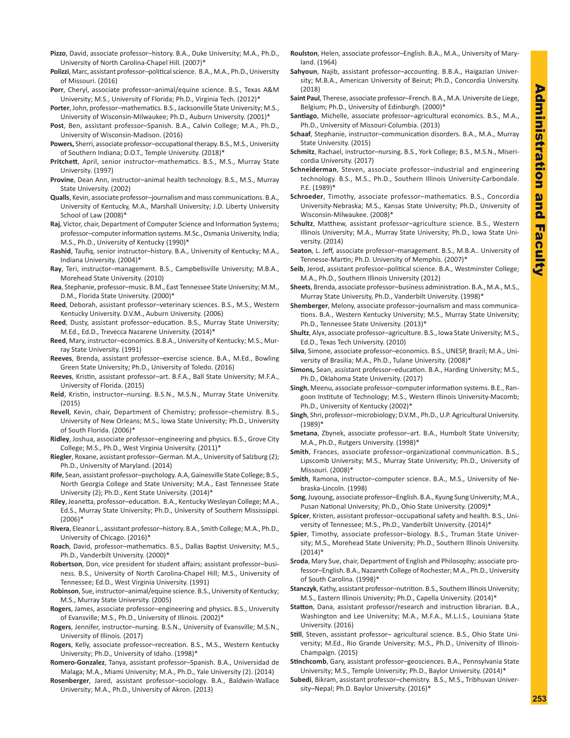- **Pizzo**, David, associate professor–history. B.A., Duke University; M.A., Ph.D., University of North Carolina-Chapel Hill. (2007)\*
- **Polizzi**, Marc, assistant professor–political science. B.A., M.A., Ph.D., University of Missouri. (2016)
- **Porr**, Cheryl, associate professor–animal/equine science. B.S., Texas A&M University; M.S., University of Florida; Ph.D., Virginia Tech. (2012)\*
- **Porter**, John, professor–mathematics. B.S., Jacksonville State University; M.S., University of Wisconsin-Milwaukee; Ph.D., Auburn University. (2001)\*
- **Post**, Ben, assistant professor–Spanish. B.A., Calvin College; M.A., Ph.D., University of Wisconsin-Madison. (2016)
- **Powers,** Sherri, associate professor–occupational therapy. B.S., M.S., University of Southern Indiana; D.O.T., Temple University. (2018)\*
- **Pritchett**, April, senior instructor–mathematics. B.S., M.S., Murray State University. (1997)
- **Provine**, Dean Ann, instructor–animal health technology. B.S., M.S., Murray State University. (2002)
- **Qualls**, Kevin, associate professor–journalism and mass communications. B.A., University of Kentucky, M.A., Marshall University; J.D. Liberty University School of Law (2008)\*
- **Raj**, Victor, chair, Department of Computer Science and Information Systems; professor–computer information systems. M.Sc., Osmania University, India; M.S., Ph.D., University of Kentucky (1990)\*
- **Rashid**, Taufiq, senior instructor–history. B.A., University of Kentucky; M.A., Indiana University. (2004)\*
- **Ray**, Teri, instructor–management. B.S., Campbellsville University; M.B.A., Morehead State University. (2010)
- **Rea**, Stephanie, professor–music. B.M., East Tennessee State University; M.M., D.M., Florida State University. (2000)\*
- **Reed**, Deborah, assistant professor–veterinary sciences. B.S., M.S., Western Kentucky University. D.V.M., Auburn University. (2006)
- **Reed**, Dusty, assistant professor–education. B.S., Murray State University; M.Ed., Ed.D., Trevecca Nazarene University. (2014)\*
- **Reed**, Mary, instructor–economics. B.B.A., University of Kentucky; M.S., Murray State University. (1991)
- **Reeves**, Brenda, assistant professor–exercise science. B.A., M.Ed., Bowling Green State University; Ph.D., University of Toledo. (2016)
- **Reeves**, Kristin, assistant professor–art. B.F.A., Ball State University; M.F.A., University of Florida. (2015)
- **Reid**, Kristin, instructor–nursing. B.S.N., M.S.N., Murray State University. (2015)
- **Revell**, Kevin, chair, Department of Chemistry; professor–chemistry. B.S., University of New Orleans; M.S., Iowa State University; Ph.D., University of South Florida. (2006)\*
- **Ridley**, Joshua, associate professor–engineering and physics. B.S., Grove City College; M.S., Ph.D., West Virginia University. (2011)\*
- **Riegler**, Roxane, assistant professor–German. M.A., University of Salzburg (2); Ph.D., University of Maryland. (2014)
- **Rife**, Sean, assistant professor–psychology. A.A, Gainesville State College; B.S., North Georgia College and State University; M.A., East Tennessee State University (2); Ph.D., Kent State University. (2014)\*
- **Riley**, Jeanetta, professor–education. B.A., Kentucky Wesleyan College; M.A., Ed.S., Murray State University; Ph.D., University of Southern Mississippi. (2006)\*
- **Rivera**, Eleanor L., assistant professor–history. B.A., Smith College; M.A., Ph.D., University of Chicago. (2016)\*
- **Roach**, David, professor–mathematics. B.S., Dallas Baptist University; M.S., Ph.D., Vanderbilt University. (2000)\*
- **Robertson**, Don, vice president for student affairs; assistant professor–business. B.S., University of North Carolina-Chapel Hill; M.S., University of Tennessee; Ed.D., West Virginia University. (1991)
- **Robinson**, Sue, instructor–animal/equine science. B.S., University of Kentucky; M.S., Murray State University. (2005)
- **Rogers**, James, associate professor–engineering and physics. B.S., University of Evansville; M.S., Ph.D., University of Illinois. (2002)\*
- **Rogers**, Jennifer, instructor–nursing. B.S.N., University of Evansville; M.S.N., University of Illinois. (2017)
- **Rogers**, Kelly, associate professor–recreation. B.S., M.S., Western Kentucky University; Ph.D., University of Idaho. (1998)\*
- **Romero-Gonzalez**, Tanya, assistant professor–Spanish. B.A., Universidad de Malaga; M.A., Miami University; M.A., Ph.D., Yale University (2). (2014)
- **Rosenberger**, Jared, assistant professor–sociology. B.A., Baldwin-Wallace University; M.A., Ph.D., University of Akron. (2013)
- **Roulston**, Helen, associate professor–English. B.A., M.A., University of Maryland. (1964)
- **Sahyoun**, Najib, assistant professor–accounting. B.B.A., Haigazian University; M.B.A., American University of Beirut; Ph.D., Concordia University. (2018)
- **Saint Paul**, Therese, associate professor–French. B.A., M.A. Universite de Liege, Belgium; Ph.D., University of Edinburgh. (2000)\*
- **Santiago**, Michelle, associate professor–agricultural economics. B.S., M.A., Ph.D., University of Missouri-Columbia. (2013)
- **Schaaf**, Stephanie, instructor–communication disorders. B.A., M.A., Murray State University. (2015)
- **Schmitz**, Rachael, instructor–nursing. B.S., York College; B.S., M.S.N., Misericordia University. (2017)
- **Schneiderman**, Steven, associate professor–industrial and engineering technology. B.S., M.S., Ph.D., Southern Illinois University-Carbondale. P.E. (1989)\*
- **Schroeder**, Timothy, associate professor–mathematics. B.S., Concordia University-Nebraska; M.S., Kansas State University; Ph.D., University of Wisconsin-Milwaukee. (2008)\*
- **Schultz**, Matthew, assistant professor–agriculture science. B.S., Western Illinois University; M.A., Murray State University; Ph.D., Iowa State University. (2014)
- **Seaton**, L. Jeff, associate professor–management. B.S., M.B.A.. University of Tennesse-Martin; Ph.D. University of Memphis. (2007)\*
- **Seib**, Jerod, assistant professor–political science. B.A., Westminster College; M.A., Ph.D., Southern Illinois University (2012)
- **Sheets**, Brenda, associate professor–business administration. B.A., M.A., M.S., Murray State University, Ph.D., Vanderbilt University. (1998)\*
- **Shemberger**, Melony, associate professor–journalism and mass communications. B.A., Western Kentucky University; M.S., Murray State University; Ph.D., Tennessee State University. (2013)\*
- **Shultz**, Alyx, associate professor–agriculture. B.S., Iowa State University; M.S., Ed.D., Texas Tech University. (2010)
- **Silva**, Simone, associate professor–economics. B.S., UNESP, Brazil; M.A., University of Brasilia; M.A., Ph.D., Tulane University. (2008)\*
- **Simons,** Sean, assistant professor–education. B.A., Harding University; M.S., Ph.D., Oklahoma State University. (2017)
- **Singh**, Meenu, associate professor–computer information systems. B.E., Rangoon Institute of Technology; M.S., Western Illinois University-Macomb; Ph.D., University of Kentucky (2002)\*
- **Singh**, Shri, professor–microbiology; D.V.M., Ph.D., U.P. Agricultural University. (1989)\*
- **Smetana**, Zbynek, associate professor–art. B.A., Humbolt State University; M.A., Ph.D., Rutgers University. (1998)\*
- **Smith**, Frances, associate professor–organizational communication. B.S., Lipscomb University; M.S., Murray State University; Ph.D., University of Missouri. (2008)\*
- **Smith**, Ramona, instructor–computer science. B.A., M.S., University of Nebraska-Lincoln. (1998)
- **Song**, Juyoung, associate professor–English. B.A., Kyung Sung University; M.A., Pusan National University; Ph.D., Ohio State University. (2009)\*
- **Spicer**, Kristen, assistant professor–occupational safety and health. B.S., University of Tennessee; M.S., Ph.D., Vanderbilt University. (2014)\*
- **Spier**, Timothy, associate professor–biology. B.S., Truman State University; M.S., Morehead State University; Ph.D., Southern Illinois University. (2014)\*
- **Sroda**, Mary Sue, chair, Department of English and Philosophy; associate professor–English. B.A., Nazareth College of Rochester; M.A., Ph.D., University of South Carolina. (1998)\*
- **Stanczyk**, Kathy, assistant professor–nutrition. B.S., Southern Illinois University; M.S., Eastern Illinois University; Ph.D., Capella University. (2014)\*
- **Statton**, Dana, assistant professor/research and instruction librarian. B.A., Washington and Lee University; M.A., M.F.A., M.L.I.S., Louisiana State University. (2016)
- **Still**, Steven, assistant professor– agricultural science. B.S., Ohio State University; M.Ed., Rio Grande University; M.S., Ph.D., University of Illinois-Champaign. (2015)
- **Stinchcomb**, Gary, assistant professor–geosciences. B.A., Pennsylvania State University; M.S., Temple University; Ph.D., Baylor University. (2014)\*
- **Subedi**, Bikram, assistant professor–chemistry. B.S., M.S., Tribhuvan University–Nepal; Ph.D. Baylor University. (2016)\*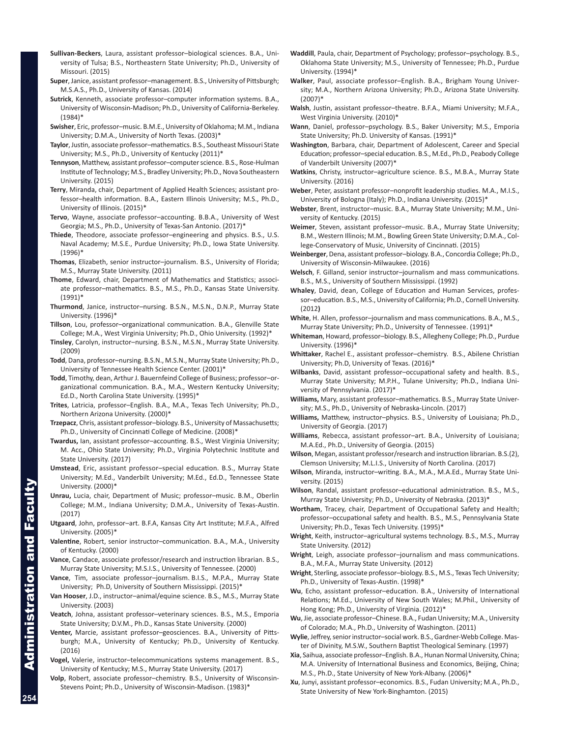- **Sullivan-Beckers**, Laura, assistant professor–biological sciences. B.A., University of Tulsa; B.S., Northeastern State University; Ph.D., University of Missouri. (2015)
- **Super**, Janice, assistant professor–management. B.S., University of Pittsburgh; M.S.A.S., Ph.D., University of Kansas. (2014)
- **Sutrick**, Kenneth, associate professor–computer information systems. B.A., University of Wisconsin-Madison; Ph.D., University of California-Berkeley. (1984)\*
- **Swisher**, Eric, professor–music. B.M.E., University of Oklahoma; M.M., Indiana University; D.M.A., University of North Texas. (2003)\*
- **Taylor**, Justin, associate professor–mathematics. B.S., Southeast Missouri State University; M.S., Ph.D., University of Kentucky (2011)\*
- **Tennyson**, Matthew, assistant professor–computer science. B.S., Rose-Hulman Institute of Technology; M.S., Bradley University; Ph.D., Nova Southeastern University. (2015)
- **Terry**, Miranda, chair, Department of Applied Health Sciences; assistant professor–health information. B.A., Eastern Illinois University; M.S., Ph.D., University of Illinois. (2015)\*
- **Tervo**, Wayne, associate professor–accounting. B.B.A., University of West Georgia; M.S., Ph.D., University of Texas-San Antonio. (2017)\*
- **Thiede**, Theodore, associate professor–engineering and physics. B.S., U.S. Naval Academy; M.S.E., Purdue University; Ph.D., Iowa State University. (1996)\*
- **Thomas**, Elizabeth, senior instructor–journalism. B.S., University of Florida; M.S., Murray State University. (2011)
- **Thome**, Edward, chair, Department of Mathematics and Statistics; associate professor–mathematics. B.S., M.S., Ph.D., Kansas State University. (1991)\*
- **Thurmond**, Janice, instructor–nursing. B.S.N., M.S.N., D.N.P., Murray State University. (1996)\*
- **Tillson**, Lou, professor–organizational communication. B.A., Glenville State College; M.A., West Virginia University; Ph.D., Ohio University. (1992)\*
- **Tinsley**, Carolyn, instructor–nursing. B.S.N., M.S.N., Murray State University. (2009)
- **Todd**, Dana, professor–nursing. B.S.N., M.S.N., Murray State University; Ph.D., University of Tennessee Health Science Center. (2001)\*
- **Todd**, Timothy, dean, Arthur J. Bauernfeind College of Business; professor–organizational communication. B.A., M.A., Western Kentucky University; Ed.D., North Carolina State University. (1995)\*
- **Trites**, Latricia, professor–English. B.A., M.A., Texas Tech University; Ph.D., Northern Arizona University. (2000)\*
- **Trzepacz**, Chris, assistant professor–biology. B.S., University of Massachusetts; Ph.D., University of Cincinnati College of Medicine. (2008)\*
- **Twardus,** Ian, assistant professor–accounting. B.S., West Virginia University; M. Acc., Ohio State University; Ph.D., Virginia Polytechnic Institute and State University. (2017)
- **Umstead**, Eric, assistant professor–special education. B.S., Murray State University; M.Ed., Vanderbilt University; M.Ed., Ed.D., Tennessee State University. (2000)\*
- **Unrau,** Lucia, chair, Department of Music; professor–music. B.M., Oberlin College; M.M., Indiana University; D.M.A., University of Texas-Austin. (2017)
- **Utgaard**, John, professor–art. B.F.A, Kansas City Art Institute; M.F.A., Alfred University. (2005)\*
- **Valentine**, Robert, senior instructor–communication. B.A., M.A., University of Kentucky. (2000)
- **Vance**, Candace, associate professor/research and instruction librarian. B.S., Murray State University; M.S.I.S., University of Tennessee. (2000)
- **Vance**, Tim, associate professor–journalism. B.I.S., M.P.A., Murray State University; Ph.D, University of Southern Mississippi. (2015)\*
- **Van Hooser**, J.D., instructor–animal/equine science. B.S., M.S., Murray State University. (2003)
- **Veatch**, Johna, assistant professor–veterinary sciences. B.S., M.S., Emporia State University; D.V.M., Ph.D., Kansas State University. (2000)
- **Venter,** Marcie, assistant professor–geosciences. B.A., University of Pittsburgh; M.A., University of Kentucky; Ph.D., University of Kentucky. (2016)
- **Vogel,** Valerie, instructor–telecommunications systems management. B.S., University of Kentucky; M.S., Murray State University. (2017)
- **Volp**, Robert, associate professor–chemistry. B.S., University of Wisconsin-Stevens Point; Ph.D., University of Wisconsin-Madison. (1983)\*
- **Waddill**, Paula, chair, Department of Psychology; professor–psychology. B.S., Oklahoma State University; M.S., University of Tennessee; Ph.D., Purdue University. (1994)\*
- **Walker**, Paul, associate professor–English. B.A., Brigham Young University; M.A., Northern Arizona University; Ph.D., Arizona State University. (2007)\*
- **Walsh**, Justin, assistant professor–theatre. B.F.A., Miami University; M.F.A., West Virginia University. (2010)\*
- **Wann**, Daniel, professor–psychology. B.S., Baker University; M.S., Emporia State University; Ph.D. University of Kansas. (1991)\*
- **Washington**, Barbara, chair, Department of Adolescent, Career and Special Education; professor–special education. B.S., M.Ed., Ph.D., Peabody College of Vanderbilt University (2007)\*
- **Watkins**, Christy, instructor–agriculture science. B.S., M.B.A., Murray State University. (2016)
- **Weber**, Peter, assistant professor–nonprofit leadership studies. M.A., M.I.S., University of Bologna (Italy); Ph.D., Indiana University. (2015)\*
- **Webster**, Brent, instructor–music. B.A., Murray State University; M.M., University of Kentucky. (2015)
- **Weimer**, Steven, assistant professor–music. B.A., Murray State University; B.M., Western Illinois; M.M., Bowling Green State University; D.M.A., College-Conservatory of Music, University of Cincinnati. (2015)
- **Weinberger**, Dena, assistant professor–biology. B.A., Concordia College; Ph.D., University of Wisconsin-Milwaukee. (2016)
- **Welsch**, F. Gilland, senior instructor–journalism and mass communications. B.S., M.S., University of Southern Mississippi. (1992)
- **Whaley**, David, dean, College of Education and Human Services, professor–education. B.S., M.S., University of California; Ph.D., Cornell University. (2012**)**
- **White**, H. Allen, professor–journalism and mass communications. B.A., M.S., Murray State University; Ph.D., University of Tennessee. (1991)\*
- **Whiteman**, Howard, professor–biology. B.S., Allegheny College; Ph.D., Purdue University. (1996)\*
- **Whittaker**, Rachel E., assistant professor–chemistry. B.S., Abilene Christian University; Ph.D, University of Texas. (2016)\*
- **Wilbanks**, David, assistant professor–occupational safety and health. B.S., Murray State University; M.P.H., Tulane University; Ph.D., Indiana University of Pennsylvania. (2017)\*
- **Williams,** Mary, assistant professor–mathematics. B.S., Murray State University; M.S., Ph.D., University of Nebraska-Lincoln. (2017)
- **Williams,** Matthew, instructor–physics. B.S., University of Louisiana; Ph.D., University of Georgia. (2017)
- **Williams**, Rebecca, assistant professor–art. B.A., University of Louisiana; M.A.Ed., Ph.D., University of Georgia. (2015)
- **Wilson**, Megan, assistant professor/research and instruction librarian. B.S.(2), Clemson University; M.L.I.S., University of North Carolina. (2017)
- **Wilson**, Miranda, instructor–writing. B.A., M.A., M.A.Ed., Murray State University. (2015)
- **Wilson**, Randal, assistant professor–educational administration. B.S., M.S., Murray State University; Ph.D., University of Nebraska. (2013)\*
- **Wortham**, Tracey, chair, Department of Occupational Safety and Health; professor–occupational safety and health. B.S., M.S., Pennsylvania State University; Ph.D., Texas Tech University. (1995)\*
- **Wright**, Keith, instructor–agricultural systems technology. B.S., M.S., Murray State University. (2012)
- **Wright**, Leigh, associate professor–journalism and mass communications. B.A., M.F.A., Murray State University. (2012)
- **Wright**, Sterling, associate professor–biology. B.S., M.S., Texas Tech University; Ph.D., University of Texas-Austin. (1998)\*
- **Wu**, Echo, assistant professor–education. B.A., University of International Relations; M.Ed., University of New South Wales; M.Phil., University of Hong Kong; Ph.D., University of Virginia. (2012)\*
- **Wu**, Jie, associate professor–Chinese. B.A., Fudan University; M.A., University of Colorado; M.A., Ph.D., University of Washington. (2011)
- **Wylie**, Jeffrey, senior instructor–social work. B.S., Gardner-Webb College. Master of Divinity, M.S.W., Southern Baptist Theological Seminary. (1997)
- **Xia**, Saihua, associate professor–English. B.A., Hunan Normal University, China; M.A. University of International Business and Economics, Beijing, China; M.S., Ph.D., State University of New York-Albany. (2006)\*
- **Xu**, Junyi, assistant professor–economics. B.S., Fudan University; M.A., Ph.D., State University of New York-Binghamton. (2015)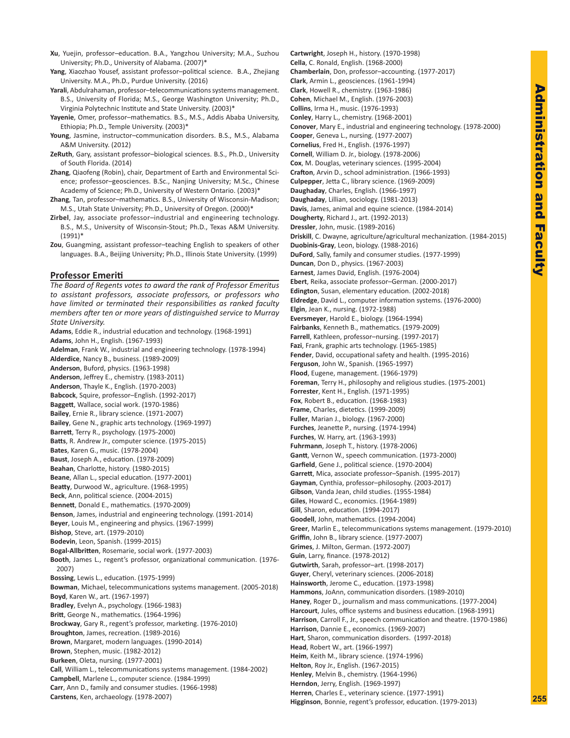- **Xu**, Yuejin, professor–education. B.A., Yangzhou University; M.A., Suzhou University; Ph.D., University of Alabama. (2007)\*
- **Yang**, Xiaozhao Yousef, assistant professor–political science. B.A., Zhejiang University. M.A., Ph.D., Purdue University. (2016)
- **Yarali**, Abdulrahaman, professor–telecommunications systems management. B.S., University of Florida; M.S., George Washington University; Ph.D., Virginia Polytechnic Institute and State University. (2003)\*
- **Yayenie**, Omer, professor–mathematics. B.S., M.S., Addis Ababa University, Ethiopia; Ph.D., Temple University. (2003)\*
- **Young**, Jasmine, instructor–communication disorders. B.S., M.S., Alabama A&M University. (2012)
- **ZeRuth**, Gary, assistant professor–biological sciences. B.S., Ph.D., University of South Florida. (2014)
- **Zhang**, Qiaofeng (Robin), chair, Department of Earth and Environmental Science; professor–geosciences. B.Sc., Nanjing University; M.Sc., Chinese Academy of Science; Ph.D., University of Western Ontario. (2003)\*
- **Zhang**, Tan, professor–mathematics. B.S., University of Wisconsin-Madison; M.S., Utah State University; Ph.D., University of Oregon. (2000)\*
- **Zirbel**, Jay, associate professor–industrial and engineering technology. B.S., M.S., University of Wisconsin-Stout; Ph.D., Texas A&M University. (1991)\*
- **Zou**, Guangming, assistant professor–teaching English to speakers of other languages. B.A., Beijing University; Ph.D., Illinois State University. (1999)

#### **Professor Emeriti**

*The Board of Regents votes to award the rank of Professor Emeritus to assistant professors, associate professors, or professors who have limited or terminated their responsibilities as ranked faculty members after ten or more years of distinguished service to Murray State University.* **Adams**, Eddie R., industrial education and technology. (1968-1991) **Adams**, John H., English. (1967-1993) **Adelman**, Frank W., industrial and engineering technology. (1978-1994) **Alderdice**, Nancy B., business. (1989-2009) **Anderson**, Buford, physics. (1963-1998) **Anderson**, Jeffrey E., chemistry. (1983-2011) **Anderson**, Thayle K., English. (1970-2003) **Babcock**, Squire, professor–English. (1992-2017) **Baggett**, Wallace, social work. (1970-1986) **Bailey**, Ernie R., library science. (1971-2007) **Bailey**, Gene N., graphic arts technology. (1969-1997) **Barrett**, Terry R., psychology. (1975-2000) **Batts**, R. Andrew Jr., computer science. (1975-2015) **Bates**, Karen G., music. (1978-2004) **Baust**, Joseph A., education. (1978-2009) **Beahan**, Charlotte, history. (1980-2015) **Beane**, Allan L., special education. (1977-2001) **Beatty**, Durwood W., agriculture. (1968-1995) **Beck**, Ann, political science. (2004-2015) **Bennett**, Donald E., mathematics. (1970-2009) **Benson**, James, industrial and engineering technology. (1991-2014) **Beyer**, Louis M., engineering and physics. (1967-1999) **Bishop**, Steve, art. (1979-2010) **Bodevin**, Leon, Spanish. (1999-2015) **Bogal-Allbritten**, Rosemarie, social work. (1977-2003) **Booth**, James L., regent's professor, organizational communication. (1976- 2007) **Bossing**, Lewis L., education. (1975-1999) **Bowman**, Michael, telecommunications systems management. (2005-2018) **Boyd**, Karen W., art. (1967-1997) **Bradley**, Evelyn A., psychology. (1966-1983) **Britt**, George N., mathematics. (1964-1996) **Brockway**, Gary R., regent's professor, marketing. (1976-2010) **Broughton**, James, recreation. (1989-2016) **Brown**, Margaret, modern languages. (1990-2014) **Brown**, Stephen, music. (1982-2012) **Burkeen**, Oleta, nursing. (1977-2001) **Call**, William L., telecommunications systems management. (1984-2002) **Campbell**, Marlene L., computer science. (1984-1999) **Carr**, Ann D., family and consumer studies. (1966-1998) **Carstens**, Ken, archaeology. (1978-2007)

**Cartwright**, Joseph H., history. (1970-1998) **Cella**, C. Ronald, English. (1968-2000) **Chamberlain**, Don, professor–accounting. (1977-2017) **Clark**, Armin L., geosciences. (1961-1994) **Clark**, Howell R., chemistry. (1963-1986) **Cohen**, Michael M., English. (1976-2003) **Collins**, Irma H., music. (1976-1993) **Conley**, Harry L., chemistry. (1968-2001) **Conover**, Mary E., industrial and engineering technology. (1978-2000) **Cooper**, Geneva L., nursing. (1977-2007) **Cornelius**, Fred H., English. (1976-1997) **Cornell**, William D. Jr., biology. (1978-2006) **Cox**, M. Douglas, veterinary sciences. (1995-2004) **Crafton**, Arvin D., school administration. (1966-1993) **Culpepper**, Jetta C., library science. (1969-2009) **Daughaday**, Charles, English. (1966-1997) **Daughaday**, Lillian, sociology. (1981-2013) **Davis**, James, animal and equine science. (1984-2014) **Dougherty**, Richard J., art. (1992-2013) **Dressler**, John, music. (1989-2016) **Driskill**, C. Dwayne, agriculture/agricultural mechanization. (1984-2015) **Duobinis-Gray**, Leon, biology. (1988-2016) **DuFord**, Sally, family and consumer studies. (1977-1999) **Duncan**, Don D., physics. (1967-2003) **Earnest**, James David, English. (1976-2004) **Ebert**, Reika, associate professor–German. (2000-2017) **Edington**, Susan, elementary education. (2002-2018) **Eldredge**, David L., computer information systems. (1976-2000) **Elgin**, Jean K., nursing. (1972-1988) **Eversmeyer**, Harold E., biology. (1964-1994) **Fairbanks**, Kenneth B., mathematics. (1979-2009) **Farrell**, Kathleen, professor–nursing. (1997-2017) **Fazi**, Frank, graphic arts technology. (1965-1985) **Fender**, David, occupational safety and health. (1995-2016) **Ferguson**, John W., Spanish. (1965-1997) **Flood**, Eugene, management. (1966-1979) **Foreman**, Terry H., philosophy and religious studies. (1975-2001) **Forrester**, Kent H., English. (1971-1995) **Fox**, Robert B., education. (1968-1983) **Frame**, Charles, dietetics. (1999-2009) **Fuller**, Marian J., biology. (1967-2000) **Furches**, Jeanette P., nursing. (1974-1994) **Furches**, W. Harry, art. (1963-1993) **Fuhrmann**, Joseph T., history. (1978-2006) **Gantt**, Vernon W., speech communication. (1973-2000) **Garfield**, Gene J., political science. (1970-2004) **Garrett**, Mica, associate professor–Spanish. (1995-2017) **Gayman**, Cynthia, professor–philosophy. (2003-2017) **Gibson**, Vanda Jean, child studies. (1955-1984) **Giles**, Howard C., economics. (1964-1989) **Gill**, Sharon, education. (1994-2017) **Goodell**, John, mathematics. (1994-2004) **Greer**, Marlin E., telecommunications systems management. (1979-2010) **Griffin**, John B., library science. (1977-2007) **Grimes**, J. Milton, German. (1972-2007) **Guin**, Larry, finance. (1978-2012) **Gutwirth**, Sarah, professor–art. (1998-2017) **Guyer**, Cheryl, veterinary sciences. (2006-2018) **Hainsworth**, Jerome C., education. (1973-1998) **Hammons**, JoAnn, communication disorders. (1989-2010) **Haney**, Roger D., journalism and mass communications. (1977-2004) **Harcourt**, Jules, office systems and business education. (1968-1991) **Harrison**, Carroll F., Jr., speech communication and theatre. (1970-1986) **Harrison**, Dannie E., economics. (1969-2007) **Hart**, Sharon, communication disorders. (1997-2018) **Head**, Robert W., art. (1966-1997) **Heim**, Keith M., library science. (1974-1996) **Helton**, Roy Jr., English. (1967-2015) **Henley**, Melvin B., chemistry. (1964-1996) **Herndon**, Jerry, English. (1969-1997) **Herren**, Charles E., veterinary science. (1977-1991) **Higginson**, Bonnie, regent's professor, education. (1979-2013)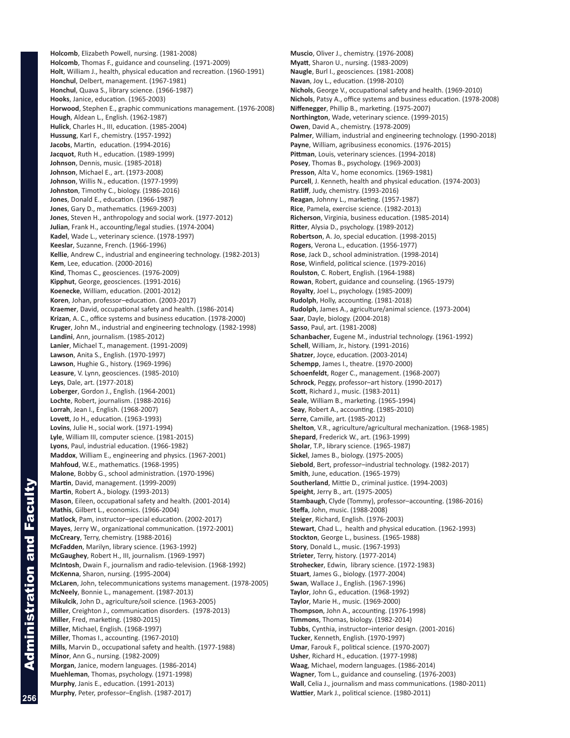**Holcomb**, Elizabeth Powell, nursing. (1981-2008) **Holcomb**, Thomas F., guidance and counseling. (1971-2009) **Holt**, William J., health, physical education and recreation. (1960-1991) **Honchul**, Delbert, management. (1967-1981) **Honchul**, Quava S., library science. (1966-1987) **Hooks**, Janice, education. (1965-2003) **Horwood**, Stephen E., graphic communications management. (1976-2008) **Hough**, Aldean L., English. (1962-1987) **Hulick**, Charles H., III, education. (1985-2004) **Hussung**, Karl F., chemistry. (1957-1992) **Jacobs**, Martin, education. (1994-2016) **Jacquot**, Ruth H., education. (1989-1999) **Johnson**, Dennis, music. (1985-2018) **Johnson**, Michael E., art. (1973-2008) **Johnson**, Willis N., education. (1977-1999) **Johnston**, Timothy C., biology. (1986-2016) **Jones**, Donald E., education. (1966-1987) **Jones**, Gary D., mathematics. (1969-2003) **Jones**, Steven H., anthropology and social work. (1977-2012) **Julian**, Frank H., accounting/legal studies. (1974-2004) **Kadel**, Wade L., veterinary science. (1978-1997) **Keeslar**, Suzanne, French. (1966-1996) **Kellie**, Andrew C., industrial and engineering technology. (1982-2013) **Kem**, Lee, education. (2000-2016) **Kind**, Thomas C., geosciences. (1976-2009) **Kipphut**, George, geosciences. (1991-2016) **Koenecke**, William, education. (2001-2012) **Koren**, Johan, professor–education. (2003-2017) **Kraemer**, David, occupational safety and health. (1986-2014) **Krizan**, A. C., office systems and business education. (1978-2000) **Kruger**, John M., industrial and engineering technology. (1982-1998) **Landini**, Ann, journalism. (1985-2012) **Lanier**, Michael T., management. (1991-2009) **Lawson**, Anita S., English. (1970-1997) **Lawson**, Hughie G., history. (1969-1996) **Leasure**, V. Lynn, geosciences. (1985-2010) **Leys**, Dale, art. (1977-2018) **Loberger**, Gordon J., English. (1964-2001) **Lochte**, Robert, journalism. (1988-2016) **Lorrah**, Jean I., English. (1968-2007) **Lovett**, Jo H., education. (1963-1993) **Lovins**, Julie H., social work. (1971-1994) **Lyle**, William III, computer science. (1981-2015) **Lyons**, Paul, industrial education. (1966-1982) **Maddox**, William E., engineering and physics. (1967-2001) **Mahfoud**, W.E., mathematics. (1968-1995) **Malone**, Bobby G., school administration. (1970-1996) **Martin**, David, management. (1999-2009) **Martin**, Robert A., biology. (1993-2013) **Mason**, Eileen, occupational safety and health. (2001-2014) **Mathis**, Gilbert L., economics. (1966-2004) **Matlock**, Pam, instructor–special education. (2002-2017) **Mayes**, Jerry W., organizational communication. (1972-2001) **McCreary**, Terry, chemistry. (1988-2016) **McFadden**, Marilyn, library science. (1963-1992) **McGaughey**, Robert H., III, journalism. (1969-1997) **McIntosh**, Dwain F., journalism and radio-television. (1968-1992) **McKenna**, Sharon, nursing. (1995-2004) **McLaren**, John, telecommunications systems management. (1978-2005) **McNeely**, Bonnie L., management. (1987-2013) **Mikulcik**, John D., agriculture/soil science. (1963-2005) **Miller**, Creighton J., communication disorders. (1978-2013) **Miller**, Fred, marketing. (1980-2015) **Miller**, Michael, English. (1968-1997) **Miller**, Thomas I., accounting. (1967-2010) **Mills**, Marvin D., occupational safety and health. (1977-1988) **Minor**, Ann G., nursing. (1982-2009) **Morgan**, Janice, modern languages. (1986-2014) **Muehleman**, Thomas, psychology. (1971-1998) **Murphy**, Janis E., education. (1991-2013) **Murphy**, Peter, professor–English. (1987-2017)

**Muscio**, Oliver J., chemistry. (1976-2008) **Myatt**, Sharon U., nursing. (1983-2009) **Naugle**, Burl I., geosciences. (1981-2008) **Navan**, Joy L., education. (1998-2010) **Nichols**, George V., occupational safety and health. (1969-2010) **Nichols**, Patsy A., office systems and business education. (1978-2008) **Niffenegger**, Phillip B., marketing. (1975-2007) **Northington**, Wade, veterinary science. (1999-2015) **Owen**, David A., chemistry. (1978-2009) **Palmer**, William, industrial and engineering technology. (1990-2018) **Payne**, William, agribusiness economics. (1976-2015) **Pittman**, Louis, veterinary sciences. (1994-2018) **Posey**, Thomas B., psychology. (1969-2003) **Presson**, Alta V., home economics. (1969-1981) **Purcell**, J. Kenneth, health and physical education. (1974-2003) **Ratliff**, Judy, chemistry. (1993-2016) **Reagan**, Johnny L., marketing. (1957-1987) **Rice**, Pamela, exercise science. (1982-2013) **Richerson**, Virginia, business education. (1985-2014) **Ritter**, Alysia D., psychology. (1989-2012) **Robertson**, A. Jo, special education. (1998-2015) **Rogers**, Verona L., education. (1956-1977) **Rose**, Jack D., school administration. (1998-2014) **Rose**, Winfield, political science. (1979-2016) **Roulston**, C. Robert, English. (1964-1988) **Rowan**, Robert, guidance and counseling. (1965-1979) **Royalty**, Joel L., psychology. (1985-2009) **Rudolph**, Holly, accounting. (1981-2018) **Rudolph**, James A., agriculture/animal science. (1973-2004) **Saar**, Dayle, biology. (2004-2018) **Sasso**, Paul, art. (1981-2008) **Schanbacher**, Eugene M., industrial technology. (1961-1992) **Schell**, William, Jr., history. (1991-2016) **Shatzer**, Joyce, education. (2003-2014) **Schempp**, James I., theatre. (1970-2000) **Schoenfeldt**, Roger C., management. (1968-2007) **Schrock**, Peggy, professor–art history. (1990-2017) **Scott**, Richard J., music. (1983-2011) **Seale**, William B., marketing. (1965-1994) **Seay**, Robert A., accounting. (1985-2010) **Serre**, Camille, art. (1985-2012) **Shelton**, V.R., agriculture/agricultural mechanization. (1968-1985) **Shepard**, Frederick W., art. (1963-1999) **Sholar**, T.P., library science. (1965-1987) **Sickel**, James B., biology. (1975-2005) **Siebold**, Bert, professor–industrial technology. (1982-2017) **Smith**, June, education. (1965-1979) **Southerland**, Mittie D., criminal justice. (1994-2003) **Speight**, Jerry B., art. (1975-2005) **Stambaugh**, Clyde (Tommy), professor–accounting. (1986-2016) **Steffa**, John, music. (1988-2008) **Steiger**, Richard, English. (1976-2003) **Stewart**, Chad L., health and physical education. (1962-1993) **Stockton**, George L., business. (1965-1988) **Story**, Donald L., music. (1967-1993) **Strieter**, Terry, history. (1977-2014) **Strohecker**, Edwin, library science. (1972-1983) **Stuart**, James G., biology. (1977-2004) **Swan**, Wallace J., English. (1967-1996) **Taylor**, John G., education. (1968-1992) **Taylor**, Marie H., music. (1969-2000) **Thompson**, John A., accounting. (1976-1998) **Timmons**, Thomas, biology. (1982-2014) **Tubbs**, Cynthia, instructor–interior design. (2001-2016) **Tucker**, Kenneth, English. (1970-1997) **Umar**, Farouk F., political science. (1970-2007) **Usher**, Richard H., education. (1977-1998) **Waag**, Michael, modern languages. (1986-2014) **Wagner**, Tom L., guidance and counseling. (1976-2003) **Wall**, Celia J., journalism and mass communications. (1980-2011) **Wattier**, Mark J., political science. (1980-2011)